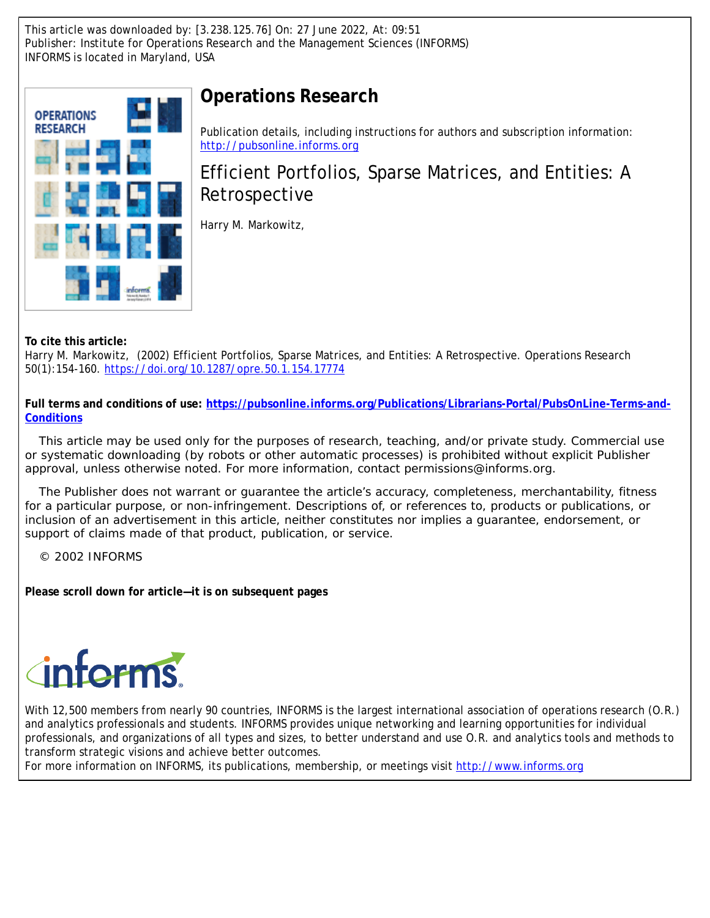This article was downloaded by: [3.238.125.76] On: 27 June 2022, At: 09:51 Publisher: Institute for Operations Research and the Management Sciences (INFORMS) INFORMS is located in Maryland, USA



# **Operations Research**

Publication details, including instructions for authors and subscription information: <http://pubsonline.informs.org>

## Efficient Portfolios, Sparse Matrices, and Entities: A Retrospective

Harry M. Markowitz,

**To cite this article:**

Harry M. Markowitz, (2002) Efficient Portfolios, Sparse Matrices, and Entities: A Retrospective. Operations Research 50(1):154-160. <https://doi.org/10.1287/opre.50.1.154.17774>

**Full terms and conditions of use: [https://pubsonline.informs.org/Publications/Librarians-Portal/PubsOnLine-Terms-and-](https://pubsonline.informs.org/Publications/Librarians-Portal/PubsOnLine-Terms-and-Conditions)[Conditions](https://pubsonline.informs.org/Publications/Librarians-Portal/PubsOnLine-Terms-and-Conditions)**

This article may be used only for the purposes of research, teaching, and/or private study. Commercial use or systematic downloading (by robots or other automatic processes) is prohibited without explicit Publisher approval, unless otherwise noted. For more information, contact permissions@informs.org.

The Publisher does not warrant or guarantee the article's accuracy, completeness, merchantability, fitness for a particular purpose, or non-infringement. Descriptions of, or references to, products or publications, or inclusion of an advertisement in this article, neither constitutes nor implies a guarantee, endorsement, or support of claims made of that product, publication, or service.

© 2002 INFORMS

**Please scroll down for article—it is on subsequent pages**



With 12,500 members from nearly 90 countries, INFORMS is the largest international association of operations research (O.R.) and analytics professionals and students. INFORMS provides unique networking and learning opportunities for individual professionals, and organizations of all types and sizes, to better understand and use O.R. and analytics tools and methods to transform strategic visions and achieve better outcomes.

For more information on INFORMS, its publications, membership, or meetings visit <http://www.informs.org>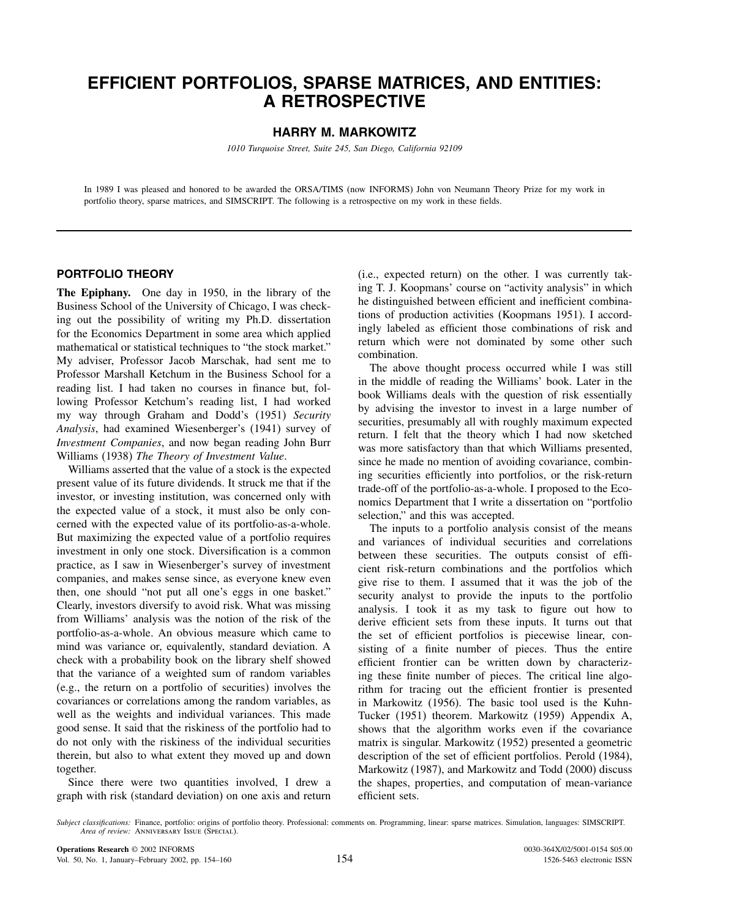## EFFICIENT PORTFOLIOS, SPARSE MATRICES, AND ENTITIES: A RETROSPECTIVE

## HARRY M. MARKOWITZ

*1010 Turquoise Street, Suite 245, San Diego, California 92109*

In 1989 I was pleased and honored to be awarded the ORSA/TIMS (now INFORMS) John von Neumann Theory Prize for my work in portfolio theory, sparse matrices, and SIMSCRIPT. The following is a retrospective on my work in these fields.

## PORTFOLIO THEORY

The Epiphany. One day in 1950, in the library of the Business School of the University of Chicago, I was checking out the possibility of writing my Ph.D. dissertation for the Economics Department in some area which applied mathematical or statistical techniques to "the stock market." My adviser, Professor Jacob Marschak, had sent me to Professor Marshall Ketchum in the Business School for a reading list. I had taken no courses in finance but, following Professor Ketchum's reading list, I had worked my way through Graham and Dodd's (1951) *Security Analysis*, had examined Wiesenberger's (1941) survey of *Investment Companies*, and now began reading John Burr Williams (1938) *The Theory of Investment Value*.

Williams asserted that the value of a stock is the expected present value of its future dividends. It struck me that if the investor, or investing institution, was concerned only with the expected value of a stock, it must also be only concerned with the expected value of its portfolio-as-a-whole. But maximizing the expected value of a portfolio requires investment in only one stock. Diversification is a common practice, as I saw in Wiesenberger's survey of investment companies, and makes sense since, as everyone knew even then, one should "not put all one's eggs in one basket." Clearly, investors diversify to avoid risk. What was missing from Williams' analysis was the notion of the risk of the portfolio-as-a-whole. An obvious measure which came to mind was variance or, equivalently, standard deviation. A check with a probability book on the library shelf showed that the variance of a weighted sum of random variables (e.g., the return on a portfolio of securities) involves the covariances or correlations among the random variables, as well as the weights and individual variances. This made good sense. It said that the riskiness of the portfolio had to do not only with the riskiness of the individual securities therein, but also to what extent they moved up and down together.

Since there were two quantities involved, I drew a graph with risk (standard deviation) on one axis and return (i.e., expected return) on the other. I was currently taking T. J. Koopmans' course on "activity analysis" in which he distinguished between efficient and inefficient combinations of production activities (Koopmans 1951). I accordingly labeled as efficient those combinations of risk and return which were not dominated by some other such combination.

The above thought process occurred while I was still in the middle of reading the Williams' book. Later in the book Williams deals with the question of risk essentially by advising the investor to invest in a large number of securities, presumably all with roughly maximum expected return. I felt that the theory which I had now sketched was more satisfactory than that which Williams presented, since he made no mention of avoiding covariance, combining securities efficiently into portfolios, or the risk-return trade-off of the portfolio-as-a-whole. I proposed to the Economics Department that I write a dissertation on "portfolio selection," and this was accepted.

The inputs to a portfolio analysis consist of the means and variances of individual securities and correlations between these securities. The outputs consist of efficient risk-return combinations and the portfolios which give rise to them. I assumed that it was the job of the security analyst to provide the inputs to the portfolio analysis. I took it as my task to figure out how to derive efficient sets from these inputs. It turns out that the set of efficient portfolios is piecewise linear, consisting of a finite number of pieces. Thus the entire efficient frontier can be written down by characterizing these finite number of pieces. The critical line algorithm for tracing out the efficient frontier is presented in Markowitz (1956). The basic tool used is the Kuhn-Tucker (1951) theorem. Markowitz (1959) Appendix A, shows that the algorithm works even if the covariance matrix is singular. Markowitz (1952) presented a geometric description of the set of efficient portfolios. Perold (1984), Markowitz (1987), and Markowitz and Todd (2000) discuss the shapes, properties, and computation of mean-variance efficient sets.

*Subject classifications:* Finance, portfolio: origins of portfolio theory. Professional: comments on. Programming, linear: sparse matrices. Simulation, languages: SIMSCRIPT. *Area of review:* Anniversary Issue (Special).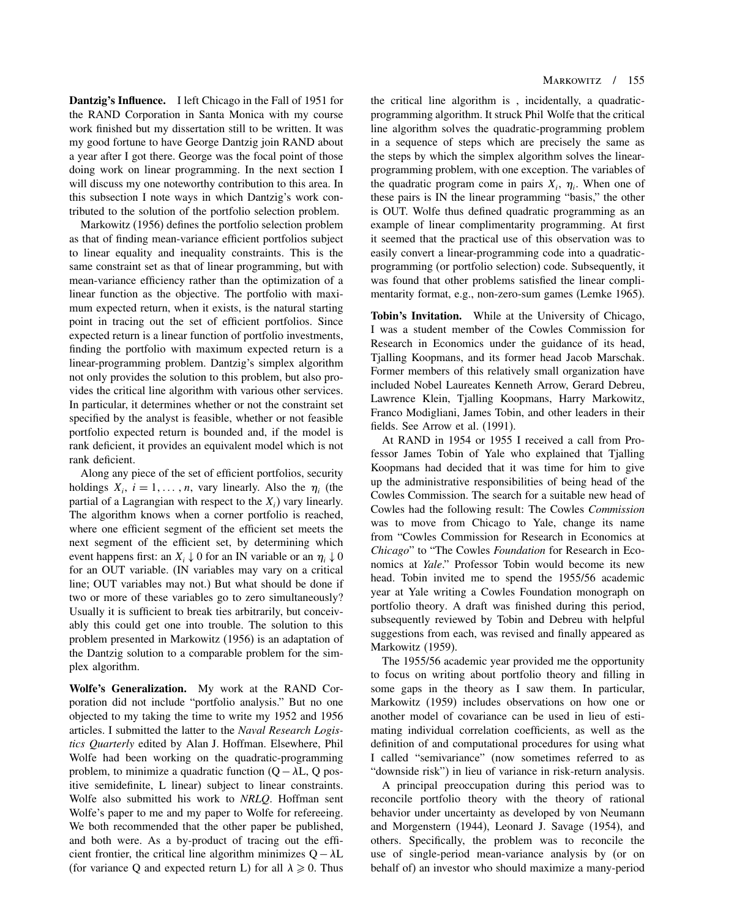Dantzig's Influence. I left Chicago in the Fall of 1951 for the RAND Corporation in Santa Monica with my course work finished but my dissertation still to be written. It was my good fortune to have George Dantzig join RAND about a year after I got there. George was the focal point of those doing work on linear programming. In the next section I will discuss my one noteworthy contribution to this area. In this subsection I note ways in which Dantzig's work contributed to the solution of the portfolio selection problem.

Markowitz (1956) defines the portfolio selection problem as that of finding mean-variance efficient portfolios subject to linear equality and inequality constraints. This is the same constraint set as that of linear programming, but with mean-variance efficiency rather than the optimization of a linear function as the objective. The portfolio with maximum expected return, when it exists, is the natural starting point in tracing out the set of efficient portfolios. Since expected return is a linear function of portfolio investments, finding the portfolio with maximum expected return is a linear-programming problem. Dantzig's simplex algorithm not only provides the solution to this problem, but also provides the critical line algorithm with various other services. In particular, it determines whether or not the constraint set specified by the analyst is feasible, whether or not feasible portfolio expected return is bounded and, if the model is rank deficient, it provides an equivalent model which is not rank deficient.

Along any piece of the set of efficient portfolios, security holdings  $X_i$ ,  $i = 1, \dots, n$ , vary linearly. Also the  $\eta_i$  (the partial of a Lagrangian with respect to the  $X_i$ ) vary linearly. The algorithm knows when a corner portfolio is reached, where one efficient segment of the efficient set meets the next segment of the efficient set, by determining which event happens first: an  $X_i \downarrow 0$  for an IN variable or an  $\eta_i \downarrow 0$ for an OUT variable. (IN variables may vary on a critical line; OUT variables may not.) But what should be done if two or more of these variables go to zero simultaneously? Usually it is sufficient to break ties arbitrarily, but conceivably this could get one into trouble. The solution to this problem presented in Markowitz (1956) is an adaptation of the Dantzig solution to a comparable problem for the simplex algorithm.

Wolfe's Generalization. My work at the RAND Corporation did not include "portfolio analysis." But no one objected to my taking the time to write my 1952 and 1956 articles. I submitted the latter to the *Naval Research Logistics Quarterly* edited by Alan J. Hoffman. Elsewhere, Phil Wolfe had been working on the quadratic-programming problem, to minimize a quadratic function  $(Q - \lambda L, Q)$  positive semidefinite, L linear) subject to linear constraints. Wolfe also submitted his work to *NRLQ*. Hoffman sent Wolfe's paper to me and my paper to Wolfe for refereeing. We both recommended that the other paper be published, and both were. As a by-product of tracing out the efficient frontier, the critical line algorithm minimizes  $Q - \lambda L$ (for variance Q and expected return L) for all  $\lambda \geq 0$ . Thus the critical line algorithm is , incidentally, a quadraticprogramming algorithm. It struck Phil Wolfe that the critical line algorithm solves the quadratic-programming problem in a sequence of steps which are precisely the same as the steps by which the simplex algorithm solves the linearprogramming problem, with one exception. The variables of the quadratic program come in pairs  $X_i$ ,  $\eta_i$ . When one of these pairs is IN the linear programming "basis," the other is OUT. Wolfe thus defined quadratic programming as an example of linear complimentarity programming. At first it seemed that the practical use of this observation was to easily convert a linear-programming code into a quadraticprogramming (or portfolio selection) code. Subsequently, it was found that other problems satisfied the linear complimentarity format, e.g., non-zero-sum games (Lemke 1965).

Tobin's Invitation. While at the University of Chicago, I was a student member of the Cowles Commission for Research in Economics under the guidance of its head, Tjalling Koopmans, and its former head Jacob Marschak. Former members of this relatively small organization have included Nobel Laureates Kenneth Arrow, Gerard Debreu, Lawrence Klein, Tjalling Koopmans, Harry Markowitz, Franco Modigliani, James Tobin, and other leaders in their fields. See Arrow et al. (1991).

At RAND in 1954 or 1955 I received a call from Professor James Tobin of Yale who explained that Tjalling Koopmans had decided that it was time for him to give up the administrative responsibilities of being head of the Cowles Commission. The search for a suitable new head of Cowles had the following result: The Cowles *Commission* was to move from Chicago to Yale, change its name from "Cowles Commission for Research in Economics at *Chicago*" to "The Cowles *Foundation* for Research in Economics at *Yale*." Professor Tobin would become its new head. Tobin invited me to spend the 1955/56 academic year at Yale writing a Cowles Foundation monograph on portfolio theory. A draft was finished during this period, subsequently reviewed by Tobin and Debreu with helpful suggestions from each, was revised and finally appeared as Markowitz (1959).

The 1955/56 academic year provided me the opportunity to focus on writing about portfolio theory and filling in some gaps in the theory as I saw them. In particular, Markowitz (1959) includes observations on how one or another model of covariance can be used in lieu of estimating individual correlation coefficients, as well as the definition of and computational procedures for using what I called "semivariance" (now sometimes referred to as "downside risk") in lieu of variance in risk-return analysis.

A principal preoccupation during this period was to reconcile portfolio theory with the theory of rational behavior under uncertainty as developed by von Neumann and Morgenstern (1944), Leonard J. Savage (1954), and others. Specifically, the problem was to reconcile the use of single-period mean-variance analysis by (or on behalf of) an investor who should maximize a many-period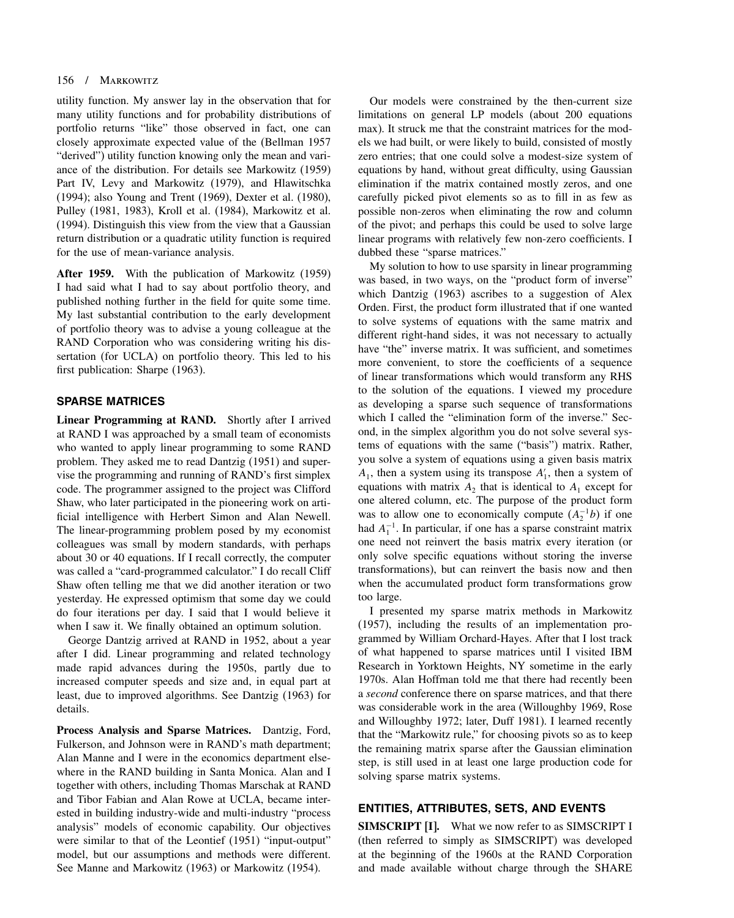### 156 / Markowitz

utility function. My answer lay in the observation that for many utility functions and for probability distributions of portfolio returns "like" those observed in fact, one can closely approximate expected value of the (Bellman 1957 "derived") utility function knowing only the mean and variance of the distribution. For details see Markowitz (1959) Part IV, Levy and Markowitz (1979), and Hlawitschka (1994); also Young and Trent (1969), Dexter et al. (1980), Pulley (1981, 1983), Kroll et al. (1984), Markowitz et al. (1994). Distinguish this view from the view that a Gaussian return distribution or a quadratic utility function is required for the use of mean-variance analysis.

After 1959. With the publication of Markowitz (1959) I had said what I had to say about portfolio theory, and published nothing further in the field for quite some time. My last substantial contribution to the early development of portfolio theory was to advise a young colleague at the RAND Corporation who was considering writing his dissertation (for UCLA) on portfolio theory. This led to his first publication: Sharpe (1963).

## SPARSE MATRICES

Linear Programming at RAND. Shortly after I arrived at RAND I was approached by a small team of economists who wanted to apply linear programming to some RAND problem. They asked me to read Dantzig (1951) and supervise the programming and running of RAND's first simplex code. The programmer assigned to the project was Clifford Shaw, who later participated in the pioneering work on artificial intelligence with Herbert Simon and Alan Newell. The linear-programming problem posed by my economist colleagues was small by modern standards, with perhaps about 30 or 40 equations. If I recall correctly, the computer was called a "card-programmed calculator." I do recall Cliff Shaw often telling me that we did another iteration or two yesterday. He expressed optimism that some day we could do four iterations per day. I said that I would believe it when I saw it. We finally obtained an optimum solution.

George Dantzig arrived at RAND in 1952, about a year after I did. Linear programming and related technology made rapid advances during the 1950s, partly due to increased computer speeds and size and, in equal part at least, due to improved algorithms. See Dantzig (1963) for details.

Process Analysis and Sparse Matrices. Dantzig, Ford, Fulkerson, and Johnson were in RAND's math department; Alan Manne and I were in the economics department elsewhere in the RAND building in Santa Monica. Alan and I together with others, including Thomas Marschak at RAND and Tibor Fabian and Alan Rowe at UCLA, became interested in building industry-wide and multi-industry "process analysis" models of economic capability. Our objectives were similar to that of the Leontief (1951) "input-output" model, but our assumptions and methods were different. See Manne and Markowitz (1963) or Markowitz (1954).

Our models were constrained by the then-current size limitations on general LP models (about 200 equations max). It struck me that the constraint matrices for the models we had built, or were likely to build, consisted of mostly zero entries; that one could solve a modest-size system of equations by hand, without great difficulty, using Gaussian elimination if the matrix contained mostly zeros, and one carefully picked pivot elements so as to fill in as few as possible non-zeros when eliminating the row and column of the pivot; and perhaps this could be used to solve large linear programs with relatively few non-zero coefficients. I dubbed these "sparse matrices."

My solution to how to use sparsity in linear programming was based, in two ways, on the "product form of inverse" which Dantzig (1963) ascribes to a suggestion of Alex Orden. First, the product form illustrated that if one wanted to solve systems of equations with the same matrix and different right-hand sides, it was not necessary to actually have "the" inverse matrix. It was sufficient, and sometimes more convenient, to store the coefficients of a sequence of linear transformations which would transform any RHS to the solution of the equations. I viewed my procedure as developing a sparse such sequence of transformations which I called the "elimination form of the inverse." Second, in the simplex algorithm you do not solve several systems of equations with the same ("basis") matrix. Rather, you solve a system of equations using a given basis matrix  $A_1$ , then a system using its transpose  $A'_1$ , then a system of equations with matrix  $A_2$  that is identical to  $A_1$  except for one altered column, etc. The purpose of the product form was to allow one to economically compute  $(A_2^{-1}b)$  if one had  $A_1^{-1}$ . In particular, if one has a sparse constraint matrix one need not reinvert the basis matrix every iteration (or only solve specific equations without storing the inverse transformations), but can reinvert the basis now and then when the accumulated product form transformations grow too large.

I presented my sparse matrix methods in Markowitz (1957), including the results of an implementation programmed by William Orchard-Hayes. After that I lost track of what happened to sparse matrices until I visited IBM Research in Yorktown Heights, NY sometime in the early 1970s. Alan Hoffman told me that there had recently been a *second* conference there on sparse matrices, and that there was considerable work in the area (Willoughby 1969, Rose and Willoughby 1972; later, Duff 1981). I learned recently that the "Markowitz rule," for choosing pivots so as to keep the remaining matrix sparse after the Gaussian elimination step, is still used in at least one large production code for solving sparse matrix systems.

#### ENTITIES, ATTRIBUTES, SETS, AND EVENTS

SIMSCRIPT [I]. What we now refer to as SIMSCRIPT I (then referred to simply as SIMSCRIPT) was developed at the beginning of the 1960s at the RAND Corporation and made available without charge through the SHARE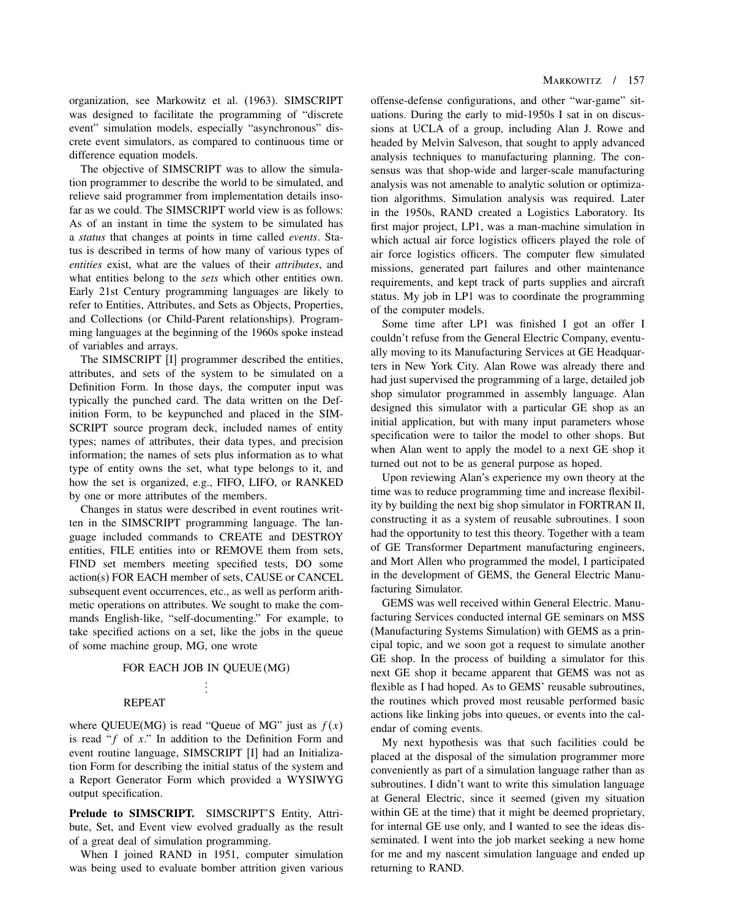organization, see Markowitz et al. (1963). SIMSCRIPT was designed to facilitate the programming of "discrete event" simulation models, especially "asynchronous" discrete event simulators, as compared to continuous time or difference equation models.

The objective of SIMSCRIPT was to allow the simulation programmer to describe the world to be simulated, and relieve said programmer from implementation details insofar as we could. The SIMSCRIPT world view is as follows: As of an instant in time the system to be simulated has a *status* that changes at points in time called *events*. Status is described in terms of how many of various types of *entities* exist, what are the values of their *attributes*, and what entities belong to the *sets* which other entities own. Early 21st Century programming languages are likely to refer to Entities, Attributes, and Sets as Objects, Properties, and Collections (or Child-Parent relationships). Programming languages at the beginning of the 1960s spoke instead of variables and arrays.

The SIMSCRIPT [I] programmer described the entities, attributes, and sets of the system to be simulated on a Definition Form. In those days, the computer input was typically the punched card. The data written on the Definition Form, to be keypunched and placed in the SIM-SCRIPT source program deck, included names of entity types; names of attributes, their data types, and precision information; the names of sets plus information as to what type of entity owns the set, what type belongs to it, and how the set is organized, e.g., FIFO, LIFO, or RANKED by one or more attributes of the members.

Changes in status were described in event routines written in the SIMSCRIPT programming language. The language included commands to CREATE and DESTROY entities, FILE entities into or REMOVE them from sets, FIND set members meeting specified tests, DO some action(s) FOR EACH member of sets, CAUSE or CANCEL subsequent event occurrences, etc., as well as perform arithmetic operations on attributes. We sought to make the commands English-like, "self-documenting." For example, to take specified actions on a set, like the jobs in the queue of some machine group, MG, one wrote

#### FOR EACH JOB IN QUEUE (MG) ---

#### REPEAT

where QUEUE(MG) is read "Queue of MG" just as  $f(x)$ is read "f of x." In addition to the Definition Form and event routine language, SIMSCRIPT [I] had an Initialization Form for describing the initial status of the system and a Report Generator Form which provided a WYSIWYG output specification.

Prelude to SIMSCRIPT. SIMSCRIPT'S Entity, Attribute, Set, and Event view evolved gradually as the result of a great deal of simulation programming.

When I joined RAND in 1951, computer simulation was being used to evaluate bomber attrition given various offense-defense configurations, and other "war-game" situations. During the early to mid-1950s I sat in on discussions at UCLA of a group, including Alan J. Rowe and headed by Melvin Salveson, that sought to apply advanced analysis techniques to manufacturing planning. The consensus was that shop-wide and larger-scale manufacturing analysis was not amenable to analytic solution or optimization algorithms. Simulation analysis was required. Later in the 1950s, RAND created a Logistics Laboratory. Its first major project, LP1, was a man-machine simulation in which actual air force logistics officers played the role of air force logistics officers. The computer flew simulated missions, generated part failures and other maintenance requirements, and kept track of parts supplies and aircraft status. My job in LP1 was to coordinate the programming of the computer models.

Some time after LP1 was finished I got an offer I couldn't refuse from the General Electric Company, eventually moving to its Manufacturing Services at GE Headquarters in New York City. Alan Rowe was already there and had just supervised the programming of a large, detailed job shop simulator programmed in assembly language. Alan designed this simulator with a particular GE shop as an initial application, but with many input parameters whose specification were to tailor the model to other shops. But when Alan went to apply the model to a next GE shop it turned out not to be as general purpose as hoped.

Upon reviewing Alan's experience my own theory at the time was to reduce programming time and increase flexibility by building the next big shop simulator in FORTRAN II, constructing it as a system of reusable subroutines. I soon had the opportunity to test this theory. Together with a team of GE Transformer Department manufacturing engineers, and Mort Allen who programmed the model, I participated in the development of GEMS, the General Electric Manufacturing Simulator.

GEMS was well received within General Electric. Manufacturing Services conducted internal GE seminars on MSS (Manufacturing Systems Simulation) with GEMS as a principal topic, and we soon got a request to simulate another GE shop. In the process of building a simulator for this next GE shop it became apparent that GEMS was not as flexible as I had hoped. As to GEMS' reusable subroutines, the routines which proved most reusable performed basic actions like linking jobs into queues, or events into the calendar of coming events.

My next hypothesis was that such facilities could be placed at the disposal of the simulation programmer more conveniently as part of a simulation language rather than as subroutines. I didn't want to write this simulation language at General Electric, since it seemed (given my situation within GE at the time) that it might be deemed proprietary, for internal GE use only, and I wanted to see the ideas disseminated. I went into the job market seeking a new home for me and my nascent simulation language and ended up returning to RAND.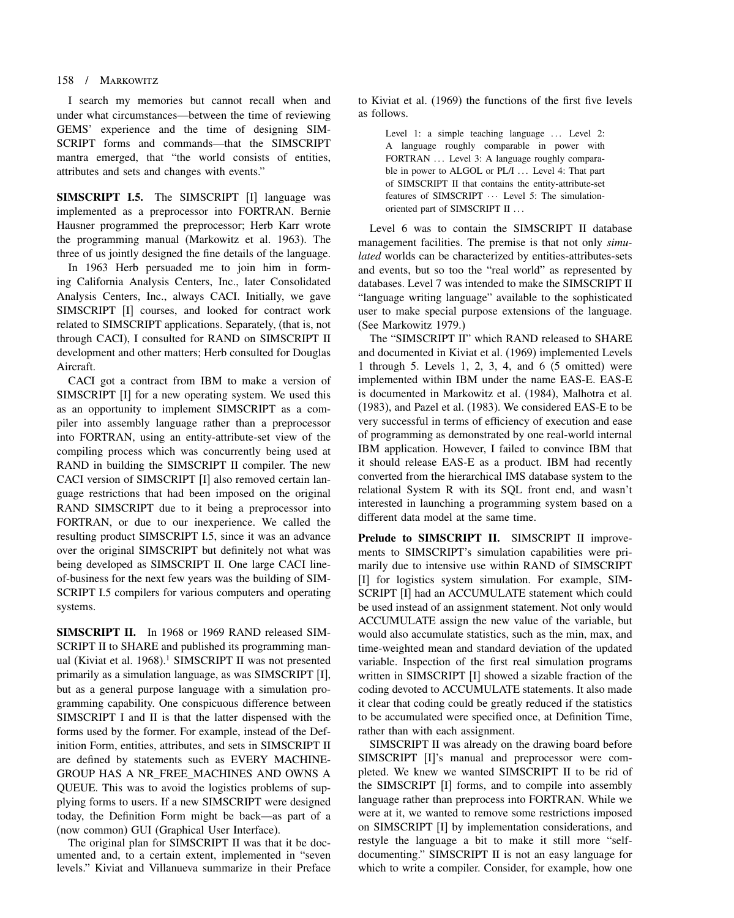#### 158 / Markowitz

I search my memories but cannot recall when and under what circumstances—between the time of reviewing GEMS' experience and the time of designing SIM-SCRIPT forms and commands—that the SIMSCRIPT mantra emerged, that "the world consists of entities, attributes and sets and changes with events."

SIMSCRIPT I.5. The SIMSCRIPT [I] language was implemented as a preprocessor into FORTRAN. Bernie Hausner programmed the preprocessor; Herb Karr wrote the programming manual (Markowitz et al. 1963). The three of us jointly designed the fine details of the language.

In 1963 Herb persuaded me to join him in forming California Analysis Centers, Inc., later Consolidated Analysis Centers, Inc., always CACI. Initially, we gave SIMSCRIPT [I] courses, and looked for contract work related to SIMSCRIPT applications. Separately, (that is, not through CACI), I consulted for RAND on SIMSCRIPT II development and other matters; Herb consulted for Douglas Aircraft.

CACI got a contract from IBM to make a version of SIMSCRIPT [I] for a new operating system. We used this as an opportunity to implement SIMSCRIPT as a compiler into assembly language rather than a preprocessor into FORTRAN, using an entity-attribute-set view of the compiling process which was concurrently being used at RAND in building the SIMSCRIPT II compiler. The new CACI version of SIMSCRIPT [I] also removed certain language restrictions that had been imposed on the original RAND SIMSCRIPT due to it being a preprocessor into FORTRAN, or due to our inexperience. We called the resulting product SIMSCRIPT I.5, since it was an advance over the original SIMSCRIPT but definitely not what was being developed as SIMSCRIPT II. One large CACI lineof-business for the next few years was the building of SIM-SCRIPT I.5 compilers for various computers and operating systems.

SIMSCRIPT II. In 1968 or 1969 RAND released SIM-SCRIPT II to SHARE and published its programming manual (Kiviat et al. 1968).<sup>1</sup> SIMSCRIPT II was not presented primarily as a simulation language, as was SIMSCRIPT [I], but as a general purpose language with a simulation programming capability. One conspicuous difference between SIMSCRIPT I and II is that the latter dispensed with the forms used by the former. For example, instead of the Definition Form, entities, attributes, and sets in SIMSCRIPT II are defined by statements such as EVERY MACHINE-GROUP HAS A NR\_FREE\_MACHINES AND OWNS A QUEUE. This was to avoid the logistics problems of supplying forms to users. If a new SIMSCRIPT were designed today, the Definition Form might be back—as part of a (now common) GUI (Graphical User Interface).

The original plan for SIMSCRIPT II was that it be documented and, to a certain extent, implemented in "seven levels." Kiviat and Villanueva summarize in their Preface to Kiviat et al. (1969) the functions of the first five levels as follows.

Level 1: a simple teaching language ... Level 2: A language roughly comparable in power with FORTRAN ... Level 3: A language roughly comparable in power to ALGOL or PL/I ... Level 4: That part of SIMSCRIPT II that contains the entity-attribute-set features of SIMSCRIPT  $\cdots$  Level 5: The simulationoriented part of SIMSCRIPT II ...

Level 6 was to contain the SIMSCRIPT II database management facilities. The premise is that not only *simulated* worlds can be characterized by entities-attributes-sets and events, but so too the "real world" as represented by databases. Level 7 was intended to make the SIMSCRIPT II "language writing language" available to the sophisticated user to make special purpose extensions of the language. (See Markowitz 1979.)

The "SIMSCRIPT II" which RAND released to SHARE and documented in Kiviat et al. (1969) implemented Levels 1 through 5. Levels 1, 2, 3, 4, and 6 (5 omitted) were implemented within IBM under the name EAS-E. EAS-E is documented in Markowitz et al. (1984), Malhotra et al. (1983), and Pazel et al. (1983). We considered EAS-E to be very successful in terms of efficiency of execution and ease of programming as demonstrated by one real-world internal IBM application. However, I failed to convince IBM that it should release EAS-E as a product. IBM had recently converted from the hierarchical IMS database system to the relational System R with its SQL front end, and wasn't interested in launching a programming system based on a different data model at the same time.

Prelude to SIMSCRIPT II. SIMSCRIPT II improvements to SIMSCRIPT's simulation capabilities were primarily due to intensive use within RAND of SIMSCRIPT [I] for logistics system simulation. For example, SIM-SCRIPT [I] had an ACCUMULATE statement which could be used instead of an assignment statement. Not only would ACCUMULATE assign the new value of the variable, but would also accumulate statistics, such as the min, max, and time-weighted mean and standard deviation of the updated variable. Inspection of the first real simulation programs written in SIMSCRIPT [I] showed a sizable fraction of the coding devoted to ACCUMULATE statements. It also made it clear that coding could be greatly reduced if the statistics to be accumulated were specified once, at Definition Time, rather than with each assignment.

SIMSCRIPT II was already on the drawing board before SIMSCRIPT [I]'s manual and preprocessor were completed. We knew we wanted SIMSCRIPT II to be rid of the SIMSCRIPT [I] forms, and to compile into assembly language rather than preprocess into FORTRAN. While we were at it, we wanted to remove some restrictions imposed on SIMSCRIPT [I] by implementation considerations, and restyle the language a bit to make it still more "selfdocumenting." SIMSCRIPT II is not an easy language for which to write a compiler. Consider, for example, how one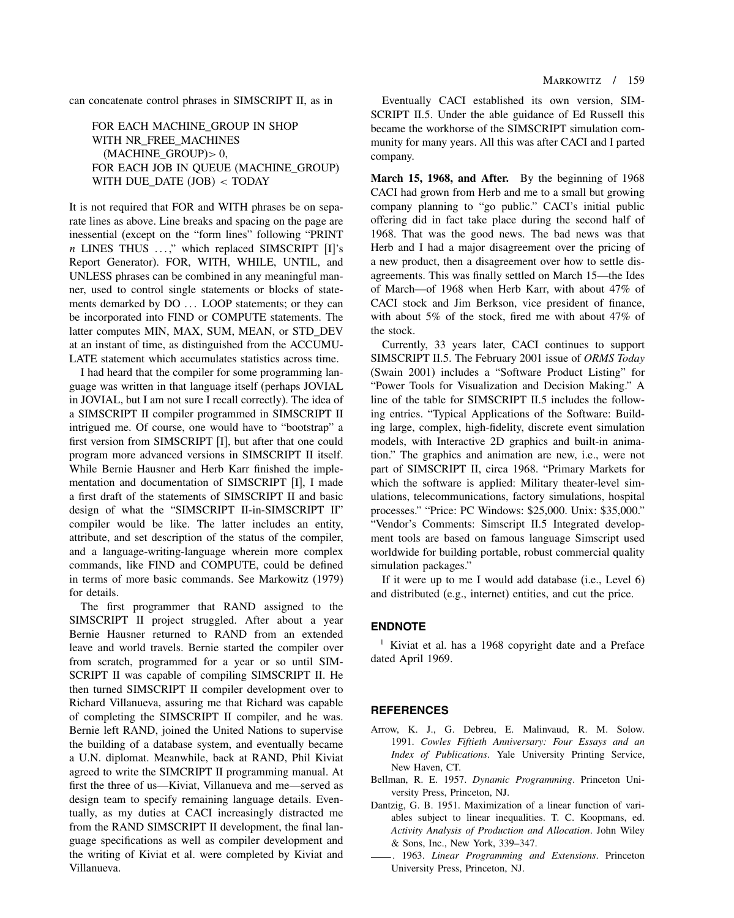can concatenate control phrases in SIMSCRIPT II, as in

FOR EACH MACHINE GROUP IN SHOP WITH NR\_FREE\_MACHINES (MACHINE\_GROUP)> 0, FOR EACH JOB IN QUEUE (MACHINE\_GROUP) WITH DUE\_DATE (JOB) < TODAY

It is not required that FOR and WITH phrases be on separate lines as above. Line breaks and spacing on the page are inessential (except on the "form lines" following "PRINT  $n$  LINES THUS  $\dots$ ," which replaced SIMSCRIPT [I]'s Report Generator). FOR, WITH, WHILE, UNTIL, and UNLESS phrases can be combined in any meaningful manner, used to control single statements or blocks of statements demarked by DO ... LOOP statements; or they can be incorporated into FIND or COMPUTE statements. The latter computes MIN, MAX, SUM, MEAN, or STD\_DEV at an instant of time, as distinguished from the ACCUMU-LATE statement which accumulates statistics across time.

I had heard that the compiler for some programming language was written in that language itself (perhaps JOVIAL in JOVIAL, but I am not sure I recall correctly). The idea of a SIMSCRIPT II compiler programmed in SIMSCRIPT II intrigued me. Of course, one would have to "bootstrap" a first version from SIMSCRIPT [I], but after that one could program more advanced versions in SIMSCRIPT II itself. While Bernie Hausner and Herb Karr finished the implementation and documentation of SIMSCRIPT [I], I made a first draft of the statements of SIMSCRIPT II and basic design of what the "SIMSCRIPT II-in-SIMSCRIPT II" compiler would be like. The latter includes an entity, attribute, and set description of the status of the compiler, and a language-writing-language wherein more complex commands, like FIND and COMPUTE, could be defined in terms of more basic commands. See Markowitz (1979) for details.

The first programmer that RAND assigned to the SIMSCRIPT II project struggled. After about a year Bernie Hausner returned to RAND from an extended leave and world travels. Bernie started the compiler over from scratch, programmed for a year or so until SIM-SCRIPT II was capable of compiling SIMSCRIPT II. He then turned SIMSCRIPT II compiler development over to Richard Villanueva, assuring me that Richard was capable of completing the SIMSCRIPT II compiler, and he was. Bernie left RAND, joined the United Nations to supervise the building of a database system, and eventually became a U.N. diplomat. Meanwhile, back at RAND, Phil Kiviat agreed to write the SIMCRIPT II programming manual. At first the three of us—Kiviat, Villanueva and me—served as design team to specify remaining language details. Eventually, as my duties at CACI increasingly distracted me from the RAND SIMSCRIPT II development, the final language specifications as well as compiler development and the writing of Kiviat et al. were completed by Kiviat and Villanueva.

Eventually CACI established its own version, SIM-SCRIPT II.5. Under the able guidance of Ed Russell this became the workhorse of the SIMSCRIPT simulation community for many years. All this was after CACI and I parted company.

March 15, 1968, and After. By the beginning of 1968 CACI had grown from Herb and me to a small but growing company planning to "go public." CACI's initial public offering did in fact take place during the second half of 1968. That was the good news. The bad news was that Herb and I had a major disagreement over the pricing of a new product, then a disagreement over how to settle disagreements. This was finally settled on March 15—the Ides of March—of 1968 when Herb Karr, with about 47% of CACI stock and Jim Berkson, vice president of finance, with about 5% of the stock, fired me with about 47% of the stock.

Currently, 33 years later, CACI continues to support SIMSCRIPT II.5. The February 2001 issue of *ORMS Today* (Swain 2001) includes a "Software Product Listing" for "Power Tools for Visualization and Decision Making." A line of the table for SIMSCRIPT II.5 includes the following entries. "Typical Applications of the Software: Building large, complex, high-fidelity, discrete event simulation models, with Interactive 2D graphics and built-in animation." The graphics and animation are new, i.e., were not part of SIMSCRIPT II, circa 1968. "Primary Markets for which the software is applied: Military theater-level simulations, telecommunications, factory simulations, hospital processes." "Price: PC Windows: \$25,000. Unix: \$35,000." "Vendor's Comments: Simscript II.5 Integrated development tools are based on famous language Simscript used worldwide for building portable, robust commercial quality simulation packages."

If it were up to me I would add database (i.e., Level 6) and distributed (e.g., internet) entities, and cut the price.

### ENDNOTE

<sup>1</sup> Kiviat et al. has a 1968 copyright date and a Preface dated April 1969.

## **REFERENCES**

- Arrow, K. J., G. Debreu, E. Malinvaud, R. M. Solow. 1991. *Cowles Fiftieth Anniversary: Four Essays and an Index of Publications*. Yale University Printing Service, New Haven, CT.
- Bellman, R. E. 1957. *Dynamic Programming*. Princeton University Press, Princeton, NJ.
- Dantzig, G. B. 1951. Maximization of a linear function of variables subject to linear inequalities. T. C. Koopmans, ed. *Activity Analysis of Production and Allocation*. John Wiley & Sons, Inc., New York, 339–347.
	- . 1963. *Linear Programming and Extensions*. Princeton University Press, Princeton, NJ.